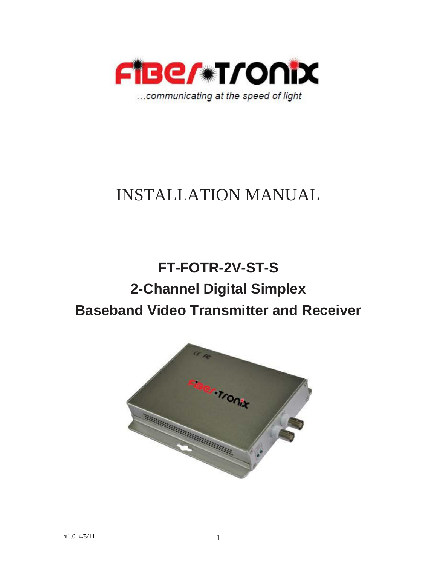

# INSTALLATION MANUAL

# **FT-FOTR-2V-ST-S 2-Channel Digital Simplex Baseband Video Transmitter and Receiver**

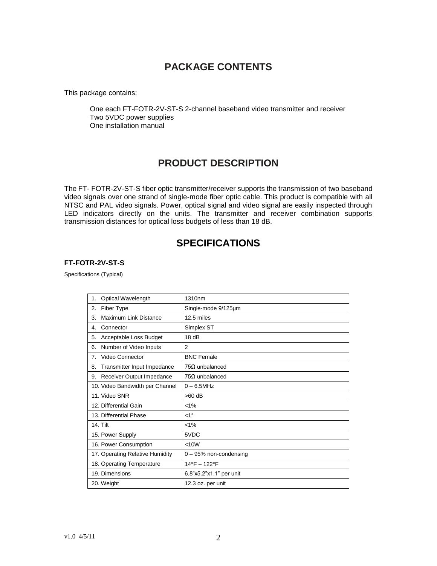## **PACKAGE CONTENTS**

This package contains:

One each FT-FOTR-2V-ST-S 2-channel baseband video transmitter and receiver Two 5VDC power supplies One installation manual

## **PRODUCT DESCRIPTION**

The FT- FOTR-2V-ST-S fiber optic transmitter/receiver supports the transmission of two baseband video signals over one strand of single-mode fiber optic cable. This product is compatible with all NTSC and PAL video signals. Power, optical signal and video signal are easily inspected through LED indicators directly on the units. The transmitter and receiver combination supports transmission distances for optical loss budgets of less than 18 dB.

## **SPECIFICATIONS**

#### **FT-FOTR-2V-ST-S**

Specifications (Typical)

| Optical Wavelength<br>1.          | 1310nm                  |
|-----------------------------------|-------------------------|
| Fiber Type<br>2.                  | Single-mode 9/125um     |
| Maximum Link Distance<br>3.       | 12.5 miles              |
| 4.<br>Connector                   | Simplex ST              |
| 5.<br>Acceptable Loss Budget      | 18dB                    |
| Number of Video Inputs<br>6.      | 2                       |
| Video Connector<br>7.             | <b>BNC Female</b>       |
| Transmitter Input Impedance<br>8. | $75\Omega$ unbalanced   |
| Receiver Output Impedance<br>9.   | $75\Omega$ unbalanced   |
| 10. Video Bandwidth per Channel   | $0 - 6.5$ MHz           |
| 11. Video SNR                     | $>60$ dB                |
| 12. Differential Gain             | $< 1\%$                 |
| 13. Differential Phase            | $<1^{\circ}$            |
| <b>14. Tilt</b>                   | $< 1\%$                 |
| 15. Power Supply                  | 5VDC                    |
| 16. Power Consumption             | < 10W                   |
| 17. Operating Relative Humidity   | 0 - 95% non-condensing  |
| 18. Operating Temperature         | 14°F - 122°F            |
| 19. Dimensions                    | 6.8"x5.2"x1.1" per unit |
| 20. Weight                        | 12.3 oz. per unit       |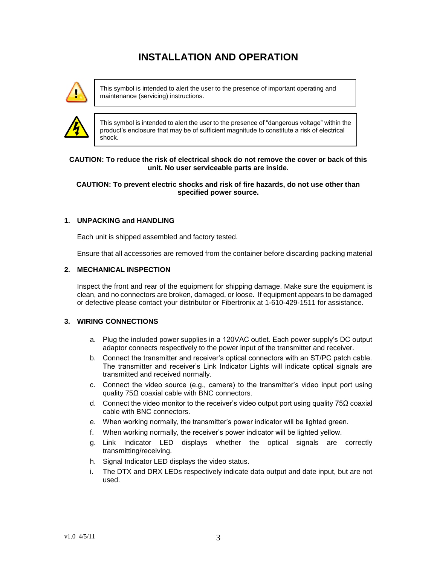# **INSTALLATION AND OPERATION**



This symbol is intended to alert the user to the presence of important operating and maintenance (servicing) instructions.



This symbol is intended to alert the user to the presence of "dangerous voltage" within the product's enclosure that may be of sufficient magnitude to constitute a risk of electrical shock.

#### **CAUTION: To reduce the risk of electrical shock do not remove the cover or back of this unit. No user serviceable parts are inside.**

#### **CAUTION: To prevent electric shocks and risk of fire hazards, do not use other than specified power source.**

## **1. UNPACKING and HANDLING**

Each unit is shipped assembled and factory tested.

Ensure that all accessories are removed from the container before discarding packing material

#### **2. MECHANICAL INSPECTION**

Inspect the front and rear of the equipment for shipping damage. Make sure the equipment is clean, and no connectors are broken, damaged, or loose. If equipment appears to be damaged or defective please contact your distributor or Fibertronix at 1-610-429-1511 for assistance.

#### **3. WIRING CONNECTIONS**

- a. Plug the included power supplies in a 120VAC outlet. Each power supply's DC output adaptor connects respectively to the power input of the transmitter and receiver.
- b. Connect the transmitter and receiver's optical connectors with an ST/PC patch cable. The transmitter and receiver's Link Indicator Lights will indicate optical signals are transmitted and received normally.
- c. Connect the video source (e.g., camera) to the transmitter's video input port using quality 75Ω coaxial cable with BNC connectors.
- d. Connect the video monitor to the receiver's video output port using quality 75 $\Omega$  coaxial cable with BNC connectors.
- e. When working normally, the transmitter's power indicator will be lighted green.
- f. When working normally, the receiver's power indicator will be lighted yellow.
- g. Link Indicator LED displays whether the optical signals are correctly transmitting/receiving.
- h. Signal Indicator LED displays the video status.
- i. The DTX and DRX LEDs respectively indicate data output and date input, but are not used.